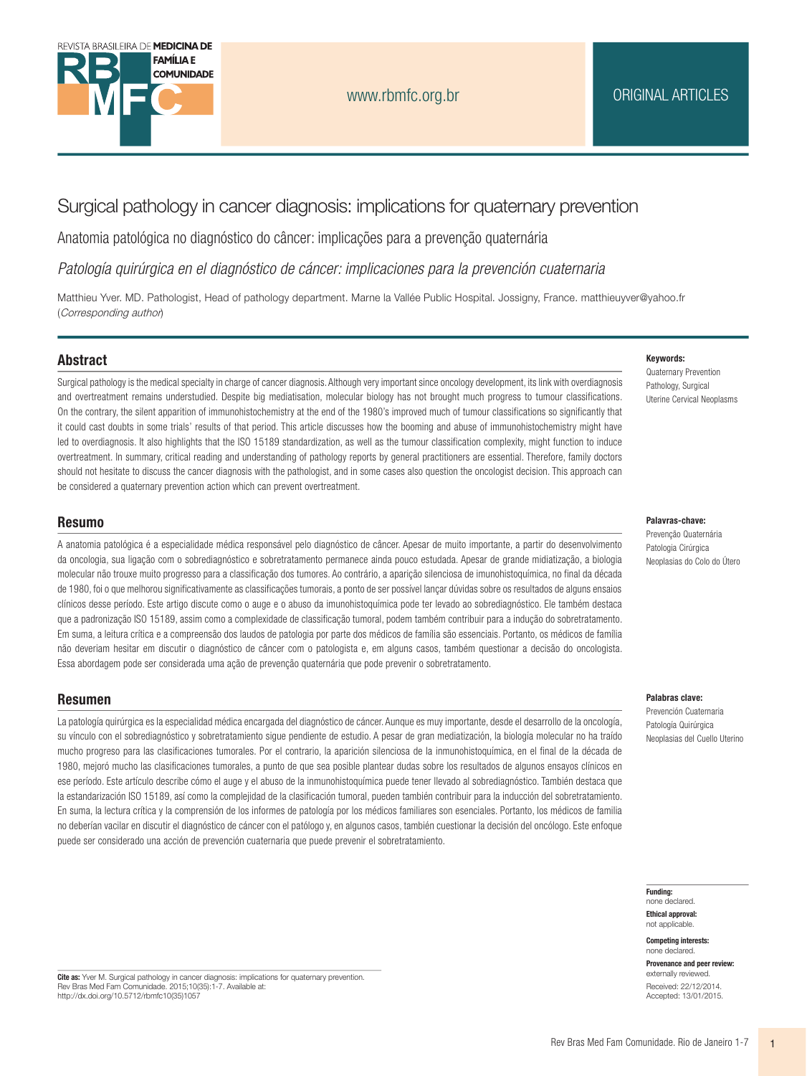

# Surgical pathology in cancer diagnosis: implications for quaternary prevention

Anatomia patológica no diagnóstico do câncer: implicações para a prevenção quaternária

Patología guirúrgica en el diagnóstico de cáncer: implicaciones para la prevención cuaternaria

Matthieu Yver. MD. Pathologist, Head of pathology department. Marne la Vallée Public Hospital. Jossigny, France. matthieuyver@yahoo.fr (Corresponding author)

#### **Abstract**

Surgical pathology is the medical specialty in charge of cancer diagnosis. Although very important since oncology development, its link with overdiagnosis and overtreatment remains understudied. Despite big mediatisation, molecular biology has not brought much progress to tumour classifications. On the contrary, the silent apparition of immunohistochemistry at the end of the 1980's improved much of tumour classifications so significantly that it could cast doubts in some trials' results of that period. This article discusses how the booming and abuse of immunohistochemistry might have led to overdiagnosis. It also highlights that the ISO 15189 standardization, as well as the tumour classification complexity, might function to induce overtreatment. In summary, critical reading and understanding of pathology reports by general practitioners are essential. Therefore, family doctors should not hesitate to discuss the cancer diagnosis with the pathologist, and in some cases also question the oncologist decision. This approach can be considered a quaternary prevention action which can prevent overtreatment.

#### **Resumo**

A anatomia patológica é a especialidade médica responsável pelo diagnóstico de câncer. Apesar de muito importante, a partir do desenvolvimento da oncologia, sua ligação com o sobrediagnóstico e sobretratamento permanece ainda pouco estudada. Apesar de grande midiatização, a biologia molecular não trouxe muito progresso para a classificação dos tumores. Ao contrário, a aparição silenciosa de imunohistoquímica, no final da década de 1980, foi o que melhorou significativamente as classificações tumorais, a ponto de ser possível lançar dúvidas sobre os resultados de alguns ensaios clínicos desse período. Este artigo discute como o auge e o abuso da imunohistoquímica pode ter levado ao sobrediagnóstico. Ele também destaca que a padronização ISO 15189, assim como a complexidade de classificação tumoral, podem também contribuir para a indução do sobretratamento. Em suma, a leitura crítica e a compreensão dos laudos de patologia por parte dos médicos de família são essenciais. Portanto, os médicos de família não deveriam hesitar em discutir o diagnóstico de câncer com o patologista e, em alguns casos, também questionar a decisão do oncologista. Essa abordagem pode ser considerada uma ação de prevenção quaternária que pode prevenir o sobretratamento.

#### **Resumen**

La patología quirúrgica es la especialidad médica encargada del diagnóstico de cáncer. Aunque es muy importante, desde el desarrollo de la oncología, su vínculo con el sobrediagnóstico y sobretratamiento sigue pendiente de estudio. A pesar de gran mediatización, la biología molecular no ha traído mucho progreso para las clasificaciones tumorales. Por el contrario, la aparición silenciosa de la inmunohistoquímica, en el final de la década de 1980, mejoró mucho las clasificaciones tumorales, a punto de que sea posible plantear dudas sobre los resultados de algunos ensayos clínicos en ese período. Este artículo describe cómo el auge y el abuso de la inmunohistoquímica puede tener llevado al sobrediagnóstico. También destaca que la estandarización ISO 15189, así como la complejidad de la clasificación tumoral, pueden también contribuir para la inducción del sobretratamiento. En suma, la lectura crítica y la comprensión de los informes de patología por los médicos familiares son esenciales. Portanto, los médicos de familia no deberían vacilar en discutir el diagnóstico de cáncer con el patólogo y, en algunos casos, también cuestionar la decisión del oncólogo. Este enfoque puede ser considerado una acción de prevención cuaternaria que puede prevenir el sobretratamiento.

#### Keywords:

Quaternary Prevention Pathology, Surgical Uterine Cervical Neoplasms

#### Palavras-chave:

Prevenção Quaternária Patologia Cirúrgica Neoplasias do Colo do Útero

#### Palahras clave:

Prevención Cuaternaria Patología Quirúrgica Neoplasias del Cuello Uterino

**Funding:** 

none declared **Ethical approval:** not applicable

**Competing interests:** none declared

Provenance and peer review: externally reviewed Received: 22/12/2014 Accepted: 13/01/2015

Cite as: Yver M. Surgical pathology in cancer diagnosis: implications for quaternary prevention.<br>Rev Bras Med Fam Comunidade. 2015;10(35):1-7. Available at: http://dx.doi.org/10.5712/rbmfc10(35)1057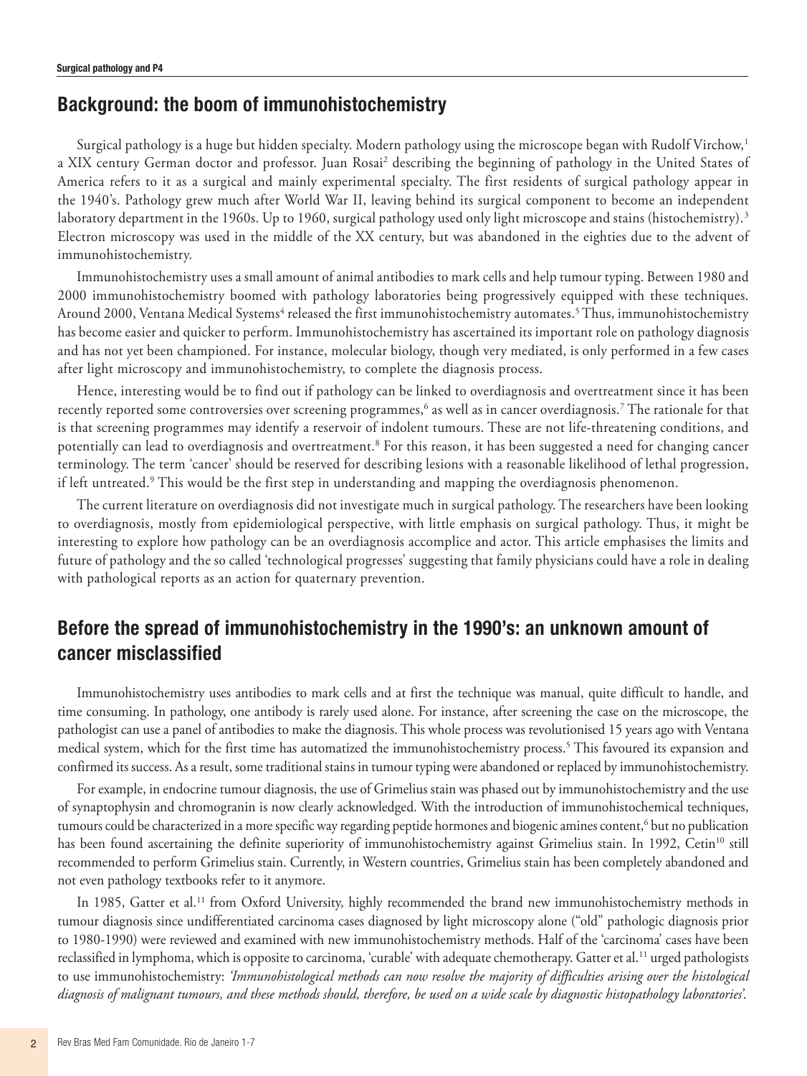# **Background: the boom of immunohistochemistry**

Surgical pathology is a huge but hidden specialty. Modern pathology using the microscope began with Rudolf Virchow,<sup>1</sup> a XIX century German doctor and professor. Juan Rosai<sup>2</sup> describing the beginning of pathology in the United States of America refers to it as a surgical and mainly experimental specialty. The first residents of surgical pathology appear in the 1940's. Pathology grew much after World War II, leaving behind its surgical component to become an independent laboratory department in the 1960s. Up to 1960, surgical pathology used only light microscope and stains (histochemistry).<sup>3</sup> Electron microscopy was used in the middle of the XX century, but was abandoned in the eighties due to the advent of immunohistochemistry.

Immunohistochemistry uses a small amount of animal antibodies to mark cells and help tumour typing. Between 1980 and 2000 immunohistochemistry boomed with pathology laboratories being progressively equipped with these techniques. Around 2000, Ventana Medical Systems<sup>4</sup> released the first immunohistochemistry automates.<sup>5</sup> Thus, immunohistochemistry has become easier and quicker to perform. Immunohistochemistry has ascertained its important role on pathology diagnosis and has not yet been championed. For instance, molecular biology, though very mediated, is only performed in a few cases after light microscopy and immunohistochemistry, to complete the diagnosis process.

Hence, interesting would be to find out if pathology can be linked to overdiagnosis and overtreatment since it has been recently reported some controversies over screening programmes, $^6$  as well as in cancer overdiagnosis.<sup>7</sup> The rationale for that is that screening programmes may identify a reservoir of indolent tumours. These are not life-threatening conditions, and potentially can lead to overdiagnosis and overtreatment.<sup>8</sup> For this reason, it has been suggested a need for changing cancer terminology. The term 'cancer' should be reserved for describing lesions with a reasonable likelihood of lethal progression, if left untreated.<sup>9</sup> This would be the first step in understanding and mapping the overdiagnosis phenomenon.

The current literature on overdiagnosis did not investigate much in surgical pathology. The researchers have been looking to overdiagnosis, mostly from epidemiological perspective, with little emphasis on surgical pathology. Thus, it might be interesting to explore how pathology can be an overdiagnosis accomplice and actor. This article emphasises the limits and future of pathology and the so called 'technological progresses' suggesting that family physicians could have a role in dealing with pathological reports as an action for quaternary prevention.

# **Before the spread of immunohistochemistry in the 1990's: an unknown amount of cancer misclassified**

Immunohistochemistry uses antibodies to mark cells and at first the technique was manual, quite difficult to handle, and time consuming. In pathology, one antibody is rarely used alone. For instance, after screening the case on the microscope, the pathologist can use a panel of antibodies to make the diagnosis. This whole process was revolutionised 15 years ago with Ventana medical system, which for the first time has automatized the immunohistochemistry process.5 This favoured its expansion and confirmed its success. As a result, some traditional stains in tumour typing were abandoned or replaced by immunohistochemistry.

For example, in endocrine tumour diagnosis, the use of Grimelius stain was phased out by immunohistochemistry and the use of synaptophysin and chromogranin is now clearly acknowledged. With the introduction of immunohistochemical techniques, tumours could be characterized in a more specific way regarding peptide hormones and biogenic amines content,<sup>6</sup> but no publication has been found ascertaining the definite superiority of immunohistochemistry against Grimelius stain. In 1992, Cetin<sup>10</sup> still recommended to perform Grimelius stain. Currently, in Western countries, Grimelius stain has been completely abandoned and not even pathology textbooks refer to it anymore.

In 1985, Gatter et al.<sup>11</sup> from Oxford University, highly recommended the brand new immunohistochemistry methods in tumour diagnosis since undifferentiated carcinoma cases diagnosed by light microscopy alone ("old" pathologic diagnosis prior to 1980-1990) were reviewed and examined with new immunohistochemistry methods. Half of the 'carcinoma' cases have been reclassified in lymphoma, which is opposite to carcinoma, 'curable' with adequate chemotherapy. Gatteret al.11 urged pathologists to use immunohistochemistry: *'Immunohistological methods can now resolve the majority of difficulties arising over the histological diagnosis of malignant tumours, and these methods should, therefore, be used on a wide scale by diagnostic histopathology laboratories'*.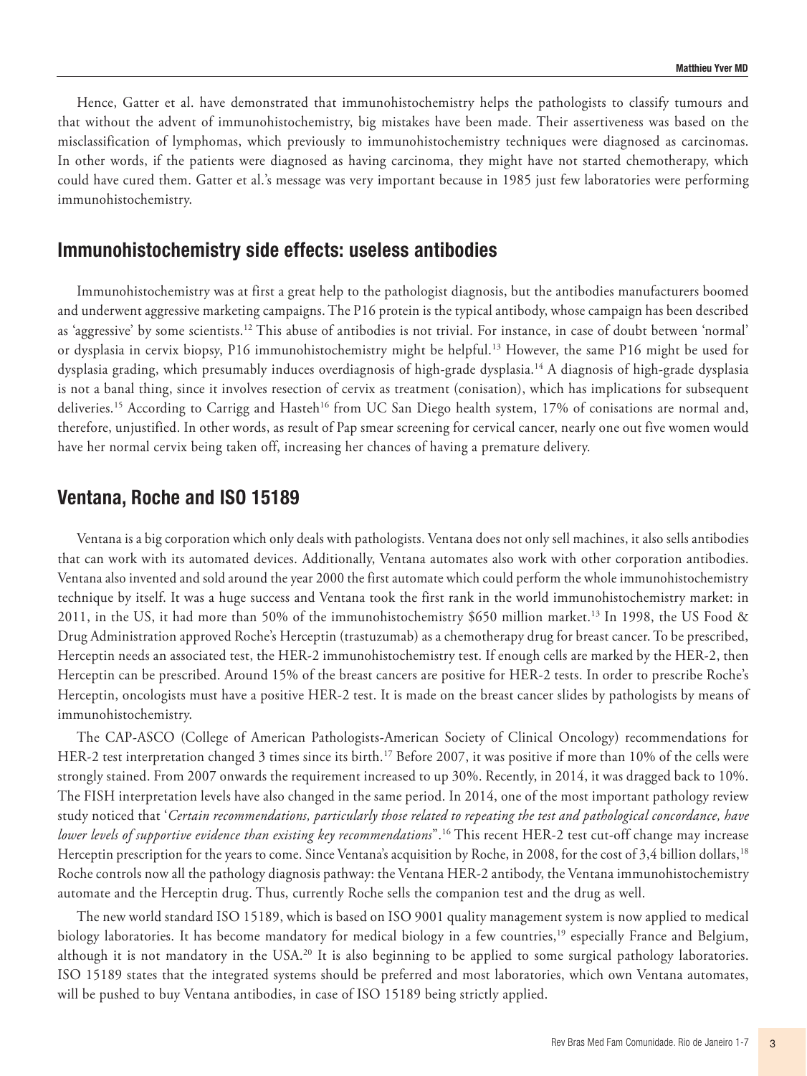Hence, Gatter et al. have demonstrated that immunohistochemistry helps the pathologists to classify tumours and that without the advent of immunohistochemistry, big mistakes have been made. Their assertiveness was based on the misclassification of lymphomas, which previously to immunohistochemistry techniques were diagnosed as carcinomas. In other words, if the patients were diagnosed as having carcinoma, they might have not started chemotherapy, which could have cured them. Gatter et al.'s message was very important because in 1985 just few laboratories were performing immunohistochemistry.

### **Immunohistochemistry side effects: useless antibodies**

Immunohistochemistry was at first a great help to the pathologist diagnosis, but the antibodies manufacturers boomed and underwent aggressive marketing campaigns. The P16 protein is the typical antibody, whose campaign has been described as 'aggressive' by some scientists.<sup>12</sup> This abuse of antibodies is not trivial. For instance, in case of doubt between 'normal' or dysplasia in cervix biopsy, P16 immunohistochemistry might be helpful.13 However, the same P16 might be used for dysplasia grading, which presumably induces overdiagnosis of high-grade dysplasia.14 A diagnosis of high-grade dysplasia is not a banal thing, since it involves resection of cervix as treatment (conisation), which has implications for subsequent deliveries.<sup>15</sup> According to Carrigg and Hasteh<sup>16</sup> from UC San Diego health system, 17% of conisations are normal and, therefore, unjustified. In other words, as result of Pap smear screening for cervical cancer, nearly one out five women would have her normal cervix being taken off, increasing her chances of having a premature delivery.

## **Ventana, Roche and ISO 15189**

Ventana is a big corporation which only deals with pathologists. Ventana does not only sell machines, it also sells antibodies that can work with its automated devices. Additionally, Ventana automates also work with other corporation antibodies. Ventana also invented and sold around the year 2000 the first automate which could perform the whole immunohistochemistry technique by itself. It was a huge success and Ventana took the first rank in the world immunohistochemistry market: in 2011, in the US, it had more than 50% of the immunohistochemistry \$650 million market.<sup>13</sup> In 1998, the US Food & Drug Administration approved Roche's Herceptin (trastuzumab) as a chemotherapy drug for breast cancer. To be prescribed, Herceptin needs an associated test, the HER-2 immunohistochemistry test. If enough cells are marked by the HER-2, then Herceptin can be prescribed. Around 15% of the breast cancers are positive for HER-2 tests. In order to prescribe Roche's Herceptin, oncologists must have a positive HER-2 test. It is made on the breast cancer slides by pathologists by means of immunohistochemistry.

The CAP-ASCO (College of American Pathologists-American Society of Clinical Oncology) recommendations for HER-2 test interpretation changed 3 times since its birth.17 Before 2007, it was positive if more than 10% of the cells were strongly stained. From 2007 onwards the requirement increased to up 30%. Recently, in 2014, it was dragged back to 10%. The FISH interpretation levels have also changed in the same period. In 2014, one of the most important pathology review study noticed that '*Certain recommendations, particularly those related to repeating the test and pathological concordance, have lower levels of supportive evidence than existing key recommendations*".16 This recent HER-2 test cut-off change may increase Herceptin prescription for the years to come. Since Ventana's acquisition by Roche, in 2008, for the cost of 3,4 billion dollars,<sup>18</sup> Roche controls now all the pathology diagnosis pathway: the Ventana HER-2 antibody, the Ventana immunohistochemistry automate and the Herceptin drug. Thus, currently Roche sells the companion test and the drug as well.

The new world standard ISO 15189, which is based on ISO 9001 quality management system is now applied to medical biology laboratories. It has become mandatory for medical biology in a few countries,<sup>19</sup> especially France and Belgium, although it is not mandatory in the USA.<sup>20</sup> It is also beginning to be applied to some surgical pathology laboratories. ISO 15189 states that the integrated systems should be preferred and most laboratories, which own Ventana automates, will be pushed to buy Ventana antibodies, in case of ISO 15189 being strictly applied.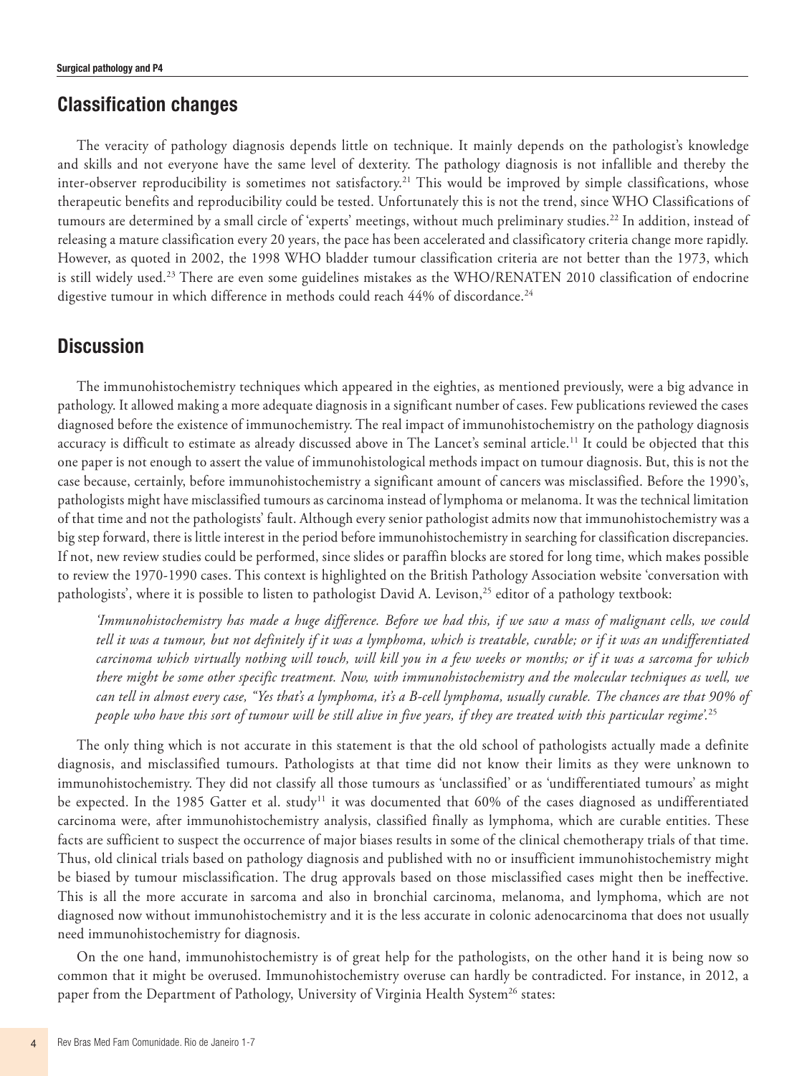## **Classification changes**

The veracity of pathology diagnosis depends little on technique. It mainly depends on the pathologist's knowledge and skills and not everyone have the same level of dexterity. The pathology diagnosis is not infallible and thereby the inter-observer reproducibility is sometimes not satisfactory.<sup>21</sup> This would be improved by simple classifications, whose therapeutic benefits and reproducibility could be tested. Unfortunately this is not the trend, since WHO Classifications of tumours are determined by a small circle of 'experts' meetings, without much preliminary studies.22 In addition, instead of releasing a mature classification every 20 years, the pace has been accelerated and classificatory criteria change more rapidly. However, as quoted in 2002, the 1998 WHO bladder tumour classification criteria are not better than the 1973, which is still widely used.<sup>23</sup> There are even some guidelines mistakes as the WHO/RENATEN 2010 classification of endocrine digestive tumour in which difference in methods could reach 44% of discordance.<sup>24</sup>

## **Discussion**

The immunohistochemistry techniques which appeared in the eighties, as mentioned previously, were a big advance in pathology. It allowed making a more adequate diagnosis in a significant number of cases. Few publications reviewed the cases diagnosed before the existence of immunochemistry. The real impact of immunohistochemistry on the pathology diagnosis accuracy is difficult to estimate as already discussed above in The Lancet's seminal article.<sup>11</sup> It could be objected that this one paper is not enough to assert the value of immunohistological methods impact on tumour diagnosis. But, this is not the case because, certainly, before immunohistochemistry a significant amount of cancers was misclassified. Before the 1990's, pathologists might have misclassified tumours as carcinoma instead of lymphoma or melanoma. It was the technical limitation of that time and not the pathologists' fault. Although every senior pathologist admits now that immunohistochemistry was a big step forward, there is little interest in the period before immunohistochemistry in searching for classification discrepancies. If not, new review studies could be performed, since slides or paraffin blocks are stored for long time, which makes possible to review the 1970-1990 cases. This context is highlighted on the British Pathology Association website 'conversation with pathologists', where it is possible to listen to pathologist David A. Levison,<sup>25</sup> editor of a pathology textbook:

*'Immunohistochemistry has made a huge difference. Before we had this, if we saw a mass of malignant cells, we could tell it was a tumour, but not definitely if it was a lymphoma, which is treatable, curable; or if it was an undifferentiated carcinoma which virtually nothing will touch, will kill you in a few weeks or months; or if it was a sarcoma for which there might be some other specific treatment. Now, with immunohistochemistry and the molecular techniques as well, we can tell in almost every case, "Yes that's a lymphoma, it's a B-cell lymphoma, usually curable. The chances are that 90% of people who have this sort of tumour will be still alive in five years, if they are treated with this particular regime'.*<sup>25</sup>

The only thing which is not accurate in this statement is that the old school of pathologists actually made a definite diagnosis, and misclassified tumours. Pathologists at that time did not know their limits as they were unknown to immunohistochemistry. They did not classify all those tumours as 'unclassified' or as 'undifferentiated tumours' as might be expected. In the 1985 Gatter et al. study<sup>11</sup> it was documented that 60% of the cases diagnosed as undifferentiated carcinoma were, after immunohistochemistry analysis, classified finally as lymphoma, which are curable entities. These facts are sufficient to suspect the occurrence of major biases results in some of the clinical chemotherapy trials of that time. Thus, old clinical trials based on pathology diagnosis and published with no or insufficient immunohistochemistry might be biased by tumour misclassification. The drug approvals based on those misclassified cases might then be ineffective. This is all the more accurate in sarcoma and also in bronchial carcinoma, melanoma, and lymphoma, which are not diagnosed now without immunohistochemistry and it is the less accurate in colonic adenocarcinoma that does not usually need immunohistochemistry for diagnosis.

On the one hand, immunohistochemistry is of great help for the pathologists, on the other hand it is being now so common that it might be overused. Immunohistochemistry overuse can hardly be contradicted. For instance, in 2012, a paper from the Department of Pathology, University of Virginia Health System<sup>26</sup> states: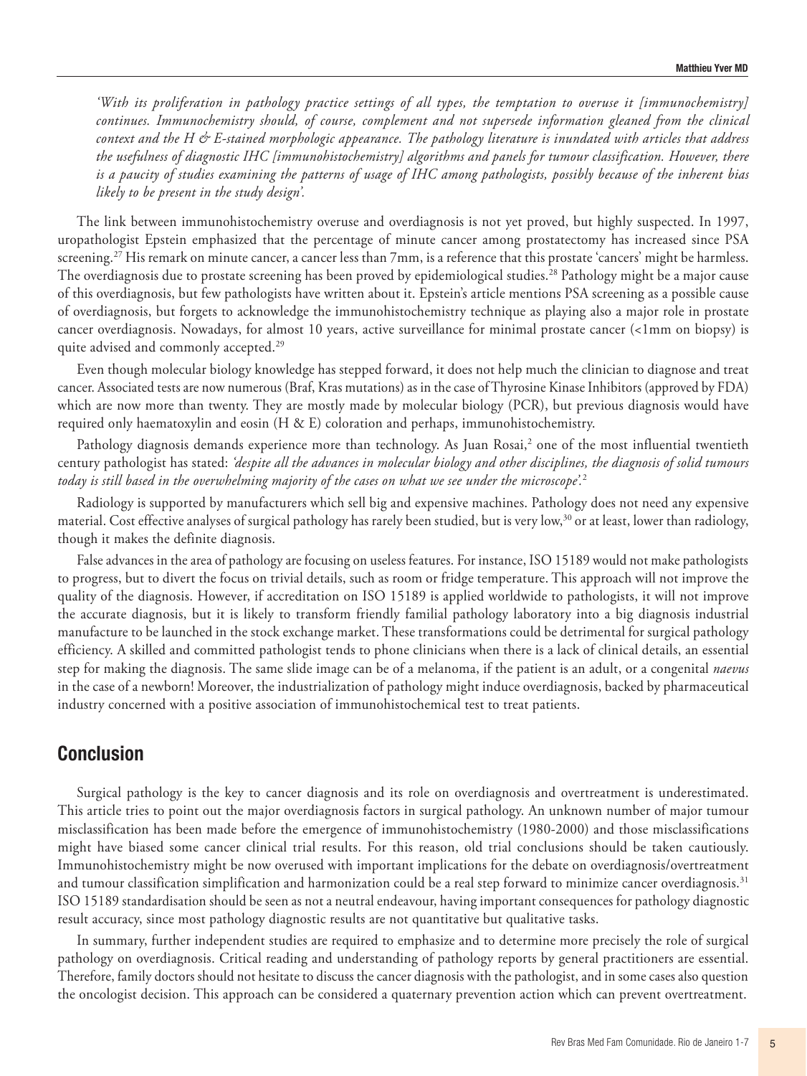*'With its proliferation in pathology practice settings of all types, the temptation to overuse it [immunochemistry] continues. Immunochemistry should, of course, complement and not supersede information gleaned from the clinical context and the H & E-stained morphologic appearance. The pathology literature is inundated with articles that address the usefulness of diagnostic IHC [immunohistochemistry] algorithms and panels for tumour classification. However, there is a paucity of studies examining the patterns of usage of IHC among pathologists, possibly because of the inherent bias likely to be present in the study design'.*

The link between immunohistochemistry overuse and overdiagnosis is not yet proved, but highly suspected. In 1997, uropathologist Epstein emphasized that the percentage of minute cancer among prostatectomy has increased since PSA screening.<sup>27</sup> His remark on minute cancer, a cancer less than 7mm, is a reference that this prostate 'cancers' might be harmless. The overdiagnosis due to prostate screening has been proved by epidemiological studies.28 Pathology might be a major cause of this overdiagnosis, but few pathologists have written about it. Epstein's article mentions PSA screening as a possible cause of overdiagnosis, but forgets to acknowledge the immunohistochemistry technique as playing also a major role in prostate cancer overdiagnosis. Nowadays, for almost 10 years, active surveillance for minimal prostate cancer (<1mm on biopsy) is quite advised and commonly accepted.<sup>29</sup>

Even though molecular biology knowledge has stepped forward, it does not help much the clinician to diagnose and treat cancer. Associated tests are now numerous (Braf, Kras mutations) as in the case of Thyrosine Kinase Inhibitors (approved by FDA) which are now more than twenty. They are mostly made by molecular biology (PCR), but previous diagnosis would have required only haematoxylin and eosin (H & E) coloration and perhaps, immunohistochemistry.

Pathology diagnosis demands experience more than technology. As Juan Rosai,<sup>2</sup> one of the most influential twentieth century pathologist has stated: *'despite all the advances in molecular biology and other disciplines, the diagnosis of solid tumours today is still based in the overwhelming majority of the cases on what we see under the microscope'.*<sup>2</sup>

Radiology is supported by manufacturers which sell big and expensive machines. Pathology does not need any expensive material. Cost effective analyses of surgical pathology has rarely been studied, but is very low,30 or at least, lower than radiology, though it makes the definite diagnosis.

False advances in the area of pathology are focusing on useless features. For instance, ISO 15189 would not make pathologists to progress, but to divert the focus on trivial details, such as room or fridge temperature. This approach will not improve the quality of the diagnosis. However, if accreditation on ISO 15189 is applied worldwide to pathologists, it will not improve the accurate diagnosis, but it is likely to transform friendly familial pathology laboratory into a big diagnosis industrial manufacture to be launched in the stock exchange market. These transformations could be detrimental for surgical pathology efficiency. A skilled and committed pathologist tends to phone clinicians when there is a lack of clinical details, an essential step for making the diagnosis. The same slide image can be of a melanoma, if the patient is an adult, or a congenital *naevus* in the case of a newborn! Moreover, the industrialization of pathology might induce overdiagnosis, backed by pharmaceutical industry concerned with a positive association of immunohistochemical test to treat patients.

### **Conclusion**

Surgical pathology is the key to cancer diagnosis and its role on overdiagnosis and overtreatment is underestimated. This article tries to point out the major overdiagnosis factors in surgical pathology. An unknown number of major tumour misclassification has been made before the emergence of immunohistochemistry (1980-2000) and those misclassifications might have biased some cancer clinical trial results. For this reason, old trial conclusions should be taken cautiously. Immunohistochemistry might be now overused with important implications for the debate on overdiagnosis/overtreatment and tumour classification simplification and harmonization could be a real step forward to minimize cancer overdiagnosis.<sup>31</sup> ISO 15189 standardisation should be seen as not a neutral endeavour, having important consequences for pathology diagnostic result accuracy, since most pathology diagnostic results are not quantitative but qualitative tasks.

In summary, further independent studies are required to emphasize and to determine more precisely the role of surgical pathology on overdiagnosis. Critical reading and understanding of pathology reports by general practitioners are essential. Therefore, family doctors should not hesitate to discuss the cancer diagnosis with the pathologist, and in some cases also question the oncologist decision. This approach can be considered a quaternary prevention action which can prevent overtreatment.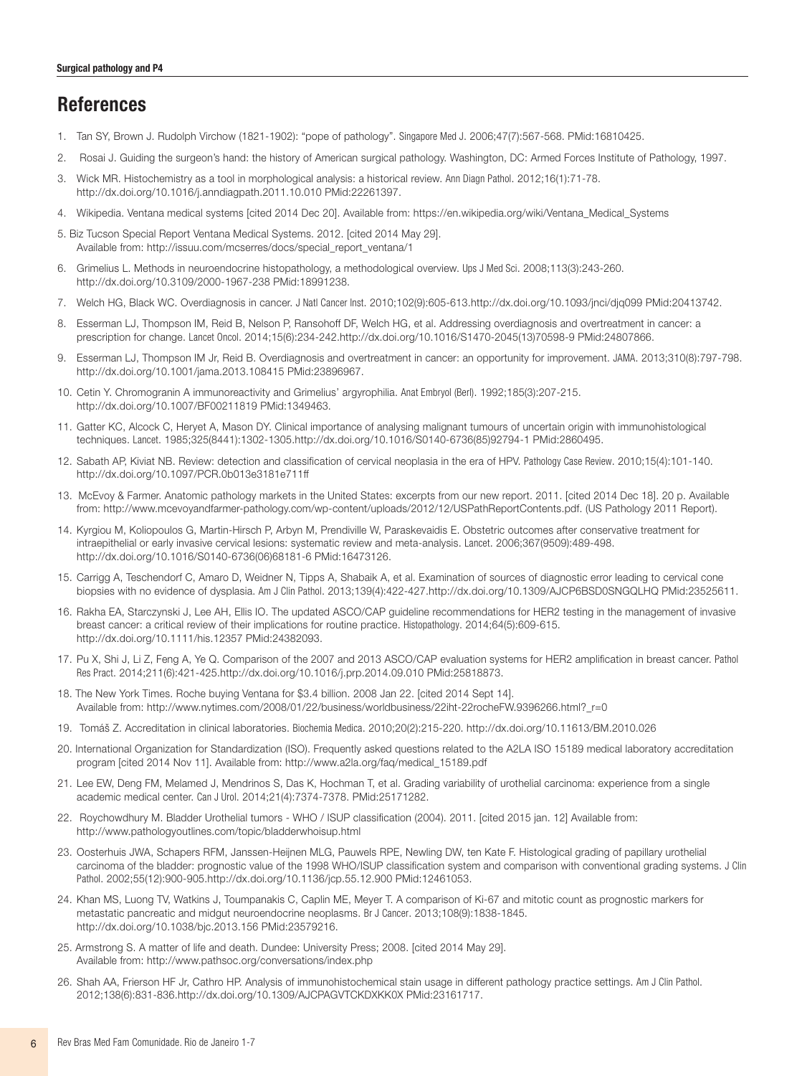# **References**

- 1. Tan SY, Brown J. Rudolph Virchow (1821-1902): "pope of pathology". Singapore Med J. 2006;47(7):567-568. [PMid:16810425.](http://www.ncbi.nlm.nih.gov/entrez/query.fcgi?cmd=Retrieve&db=PubMed&list_uids=16810425&dopt=Abstract)
- 2. Rosai J. Guiding the surgeon's hand: the history of American surgical pathology. Washington, DC: Armed Forces Institute of Pathology, 1997.
- 3. Wick MR. Histochemistry as a tool in morphological analysis: a historical review. Ann Diagn Pathol. 2012;16(1):71-78. <http://dx.doi.org/10.1016/j.anndiagpath.2011.10.010> [PMid:22261397.](http://www.ncbi.nlm.nih.gov/entrez/query.fcgi?cmd=Retrieve&db=PubMed&list_uids=22261397&dopt=Abstract)
- 4. Wikipedia. Ventana medical systems [cited 2014 Dec 20]. Available from: https://en.wikipedia.org/wiki/Ventana\_Medical\_Systems
- 5. Biz Tucson Special Report Ventana Medical Systems. 2012. [cited 2014 May 29]. Available from: http://issuu.com/mcserres/docs/special\_report\_ventana/1
- 6. Grimelius L. Methods in neuroendocrine histopathology, a methodological overview. Ups J Med Sci. 2008;113(3):243-260. <http://dx.doi.org/10.3109/2000-1967-238> [PMid:18991238.](http://www.ncbi.nlm.nih.gov/entrez/query.fcgi?cmd=Retrieve&db=PubMed&list_uids=18991238&dopt=Abstract)
- 7. Welch HG, Black WC. Overdiagnosis in cancer. J Natl Cancer Inst. 2010;102(9):605-613.<http://dx.doi.org/10.1093/jnci/djq099> [PMid:20413742.](http://www.ncbi.nlm.nih.gov/entrez/query.fcgi?cmd=Retrieve&db=PubMed&list_uids=20413742&dopt=Abstract)
- 8. Esserman LJ, Thompson IM, Reid B, Nelson P, Ransohoff DF, Welch HG, et al. Addressing overdiagnosis and overtreatment in cancer: a prescription for change. Lancet Oncol. 2014;15(6):234-242.[http://dx.doi.org/10.1016/S1470-2045\(13\)70598-9](http://dx.doi.org/10.1016/S1470-2045(13)70598-9) [PMid:24807866.](http://www.ncbi.nlm.nih.gov/entrez/query.fcgi?cmd=Retrieve&db=PubMed&list_uids=24807866&dopt=Abstract)
- 9. Esserman LJ, Thompson IM Jr, Reid B. Overdiagnosis and overtreatment in cancer: an opportunity for improvement. JAMA. 2013;310(8):797-798. <http://dx.doi.org/10.1001/jama.2013.108415> [PMid:23896967.](http://www.ncbi.nlm.nih.gov/entrez/query.fcgi?cmd=Retrieve&db=PubMed&list_uids=23896967&dopt=Abstract)
- 10. Cetin Y. Chromogranin A immunoreactivity and Grimelius' argyrophilia. Anat Embryol (Berl). 1992;185(3):207-215. <http://dx.doi.org/10.1007/BF00211819> [PMid:1349463.](http://www.ncbi.nlm.nih.gov/entrez/query.fcgi?cmd=Retrieve&db=PubMed&list_uids=1349463&dopt=Abstract)
- 11. Gatter KC, Alcock C, Heryet A, Mason DY. Clinical importance of analysing malignant tumours of uncertain origin with immunohistological techniques. Lancet. 1985;325(8441):1302-1305.[http://dx.doi.org/10.1016/S0140-6736\(85\)92794-1](http://dx.doi.org/10.1016/S0140-6736(85)92794-1) [PMid:2860495.](http://www.ncbi.nlm.nih.gov/entrez/query.fcgi?cmd=Retrieve&db=PubMed&list_uids=2860495&dopt=Abstract)
- 12. Sabath AP, Kiviat NB. Review: detection and classification of cervical neoplasia in the era of HPV. Pathology Case Review. 2010;15(4):101-140. <http://dx.doi.org/10.1097/PCR.0b013e3181e711ff>
- 13. McEvoy & Farmer. Anatomic pathology markets in the United States: excerpts from our new report. 2011. [cited 2014 Dec 18]. 20 p. Available from: http://www.mcevoyandfarmer-pathology.com/wp-content/uploads/2012/12/USPathReportContents.pdf. (US Pathology 2011 Report).
- 14. Kyrgiou M, Koliopoulos G, Martin-Hirsch P, Arbyn M, Prendiville W, Paraskevaidis E. Obstetric outcomes after conservative treatment for intraepithelial or early invasive cervical lesions: systematic review and meta-analysis. Lancet. 2006;367(9509):489-498. [http://dx.doi.org/10.1016/S0140-6736\(06\)68181-6](http://dx.doi.org/10.1016/S0140-6736(06)68181-6) [PMid:16473126.](http://www.ncbi.nlm.nih.gov/entrez/query.fcgi?cmd=Retrieve&db=PubMed&list_uids=16473126&dopt=Abstract)
- 15. Carrigg A, Teschendorf C, Amaro D, Weidner N, Tipps A, Shabaik A, et al. Examination of sources of diagnostic error leading to cervical cone biopsies with no evidence of dysplasia. Am J Clin Pathol. 2013;139(4):422-427.<http://dx.doi.org/10.1309/AJCP6BSD0SNGQLHQ> [PMid:23525611.](http://www.ncbi.nlm.nih.gov/entrez/query.fcgi?cmd=Retrieve&db=PubMed&list_uids=23525611&dopt=Abstract)
- 16. Rakha EA, Starczynski J, Lee AH, Ellis IO. The updated ASCO/CAP guideline recommendations for HER2 testing in the management of invasive breast cancer: a critical review of their implications for routine practice. Histopathology. 2014;64(5):609-615. <http://dx.doi.org/10.1111/his.12357> [PMid:24382093.](http://www.ncbi.nlm.nih.gov/entrez/query.fcgi?cmd=Retrieve&db=PubMed&list_uids=24382093&dopt=Abstract)
- 17. Pu X, Shi J, Li Z, Feng A, Ye Q. Comparison of the 2007 and 2013 ASCO/CAP evaluation systems for HER2 amplification in breast cancer. Pathol Res Pract. 2014;211(6):421-425.<http://dx.doi.org/10.1016/j.prp.2014.09.010> [PMid:25818873.](http://www.ncbi.nlm.nih.gov/entrez/query.fcgi?cmd=Retrieve&db=PubMed&list_uids=25818873&dopt=Abstract)
- 18. The New York Times. Roche buying Ventana for \$3.4 billion. 2008 Jan 22. [cited 2014 Sept 14]. Available from: http://www.nytimes.com/2008/01/22/business/worldbusiness/22iht-22rocheFW.9396266.html?\_r=0
- 19. Tomáš Z. Accreditation in clinical laboratories. Biochemia Medica. 2010;20(2):215-220. http://dx.doi.org/10.11613/BM.2010.026
- 20. International Organization for Standardization (ISO). Frequently asked questions related to the A2LA ISO 15189 medical laboratory accreditation program [cited 2014 Nov 11]. Available from: http://www.a2la.org/faq/medical\_15189.pdf
- 21. Lee EW, Deng FM, Melamed J, Mendrinos S, Das K, Hochman T, et al. Grading variability of urothelial carcinoma: experience from a single academic medical center. Can J Urol. 2014;21(4):7374-7378. [PMid:25171282.](http://www.ncbi.nlm.nih.gov/entrez/query.fcgi?cmd=Retrieve&db=PubMed&list_uids=25171282&dopt=Abstract)
- 22. Roychowdhury M. Bladder Urothelial tumors WHO / ISUP classification (2004). 2011. [cited 2015 jan. 12] Available from: http://www.pathologyoutlines.com/topic/bladderwhoisup.html
- 23. Oosterhuis JWA, Schapers RFM, Janssen-Heijnen MLG, Pauwels RPE, Newling DW, ten Kate F. Histological grading of papillary urothelial carcinoma of the bladder: prognostic value of the 1998 WHO/ISUP classification system and comparison with conventional grading systems. J Clin Pathol. 2002;55(12):900-905[.http://dx.doi.org/10.1136/jcp.55.12.900](http://dx.doi.org/10.1136/jcp.55.12.900) [PMid:12461053.](http://www.ncbi.nlm.nih.gov/entrez/query.fcgi?cmd=Retrieve&db=PubMed&list_uids=12461053&dopt=Abstract)
- 24. Khan MS, Luong TV, Watkins J, Toumpanakis C, Caplin ME, Meyer T. A comparison of Ki-67 and mitotic count as prognostic markers for metastatic pancreatic and midgut neuroendocrine neoplasms. Br J Cancer. 2013;108(9):1838-1845. <http://dx.doi.org/10.1038/bjc.2013.156> [PMid:23579216.](http://www.ncbi.nlm.nih.gov/entrez/query.fcgi?cmd=Retrieve&db=PubMed&list_uids=23579216&dopt=Abstract)
- 25. Armstrong S. A matter of life and death. Dundee: University Press; 2008. [cited 2014 May 29]. Available from: http://www.pathsoc.org/conversations/index.php
- 26. Shah AA, Frierson HF Jr, Cathro HP. Analysis of immunohistochemical stain usage in different pathology practice settings. Am J Clin Pathol. 2012;138(6):831-836[.http://dx.doi.org/10.1309/AJCPAGVTCKDXKK0X](http://dx.doi.org/10.1309/AJCPAGVTCKDXKK0X) [PMid:23161717.](http://www.ncbi.nlm.nih.gov/entrez/query.fcgi?cmd=Retrieve&db=PubMed&list_uids=23161717&dopt=Abstract)